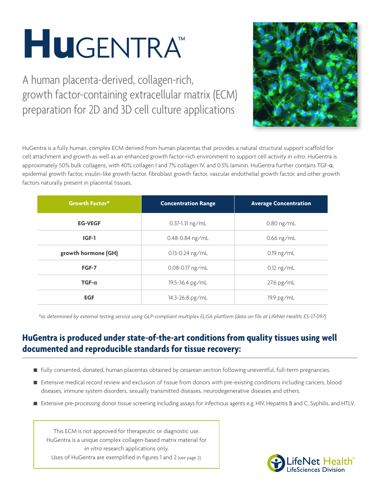# **Hu**gentra™

A human placenta-derived, collagen-rich, growth factor-containing extracellular matrix (ECM) preparation for 2D and 3D cell culture applications



HuGentra is a fully human, complex ECM derived from human placentas that provides a natural structural support scaffold for cell attachment and growth as well as an enhanced growth factor-rich environment to support cell activity *in vitro*. HuGentra is approximately 50% bulk collagens, with 40% collagen I and 7% collagen IV, and 0.5% laminin. HuGentra further contains TGF-α, epidermal growth factor, insulin-like growth factor, fibroblast growth factor, vascular endothelial growth factor, and other growth factors naturally present in placental tissues.

| <b>Growth Factor*</b> | <b>Concentration Range</b> | <b>Average Concentration</b> |
|-----------------------|----------------------------|------------------------------|
| <b>EG-VEGF</b>        | $0.37 - 1.31$ ng/mL        | $0.80$ ng/mL                 |
| IGF-1                 | $0.48 - 0.84$ ng/mL        | $0.66$ ng/mL                 |
| growth hormone (GH)   | $0.13 - 0.24$ ng/mL        | $0.19$ ng/mL                 |
| FGF-7                 | $0.08 - 0.17$ ng/mL        | $0.12 \text{ ng/mL}$         |
| $TGF-\alpha$          | 19.5-36.4 pg/mL            | $27.6$ pg/mL                 |
| <b>EGF</b>            | 14.3-26.8 pg/mL            | $19.9$ pg/mL                 |

*\*as determined by external testing service using GLP-compliant multiplex ELISA platform (data on file at LifeNet Health; ES-17-097)*

# **HuGentra is produced under state-of-the-art conditions from quality tissues using well documented and reproducible standards for tissue recovery:**

- Fully consented, donated, human placentas obtained by cesarean section following uneventful, full-term pregnancies.
- Extensive medical record review and exclusion of tissue from donors with pre-existing conditions including cancers, blood diseases, immune system disorders, sexually transmitted diseases, neurodegenerative diseases and others.
- Extensive pre-processing donor tissue screening including assays for infectious agents e.g. HIV, Hepatitis B and C, Syphilis, and HTLV.

This ECM is not approved for therapeutic or diagnostic use. HuGentra is a unique complex collagen-based matrix material for *in vitro* research applications only. Uses of HuGentra are exemplified in figures 1 and 2 (see page 2).